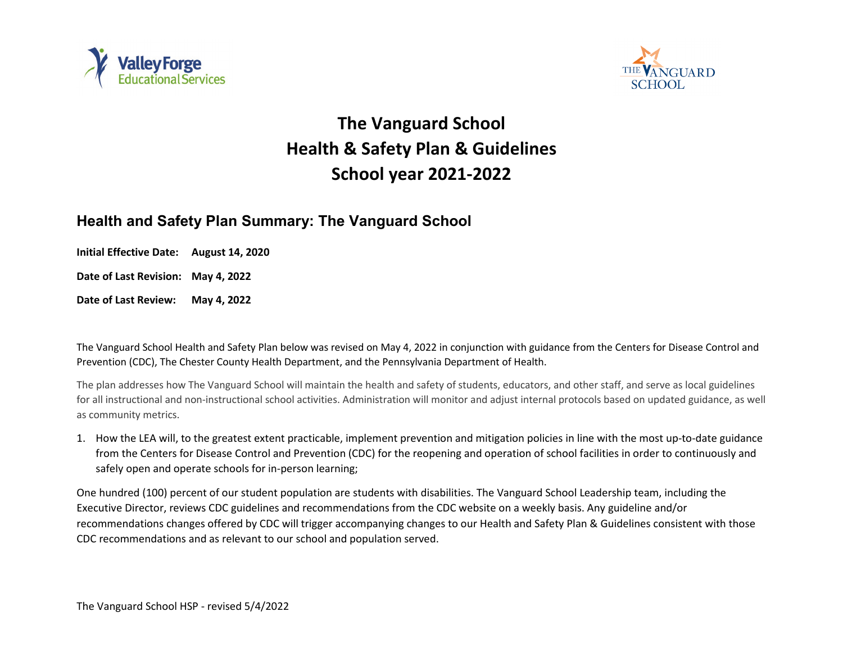



## **The Vanguard School Health & Safety Plan & Guidelines School year 2021-2022**

## **Health and Safety Plan Summary: The Vanguard School**

**Initial Effective Date: August 14, 2020**

**Date of Last Revision: May 4, 2022**

**Date of Last Review: May 4, 2022**

The Vanguard School Health and Safety Plan below was revised on May 4, 2022 in conjunction with guidance from the Centers for Disease Control and Prevention (CDC), The Chester County Health Department, and the Pennsylvania Department of Health.

The plan addresses how The Vanguard School will maintain the health and safety of students, educators, and other staff, and serve as local guidelines for all instructional and non-instructional school activities. Administration will monitor and adjust internal protocols based on updated guidance, as well as community metrics.

1. How the LEA will, to the greatest extent practicable, implement prevention and mitigation policies in line with the most up-to-date guidance from the Centers for Disease Control and Prevention (CDC) for the reopening and operation of school facilities in order to continuously and safely open and operate schools for in-person learning;

One hundred (100) percent of our student population are students with disabilities. The Vanguard School Leadership team, including the Executive Director, reviews CDC guidelines and recommendations from the CDC website on a weekly basis. Any guideline and/or recommendations changes offered by CDC will trigger accompanying changes to our Health and Safety Plan & Guidelines consistent with those CDC recommendations and as relevant to our school and population served.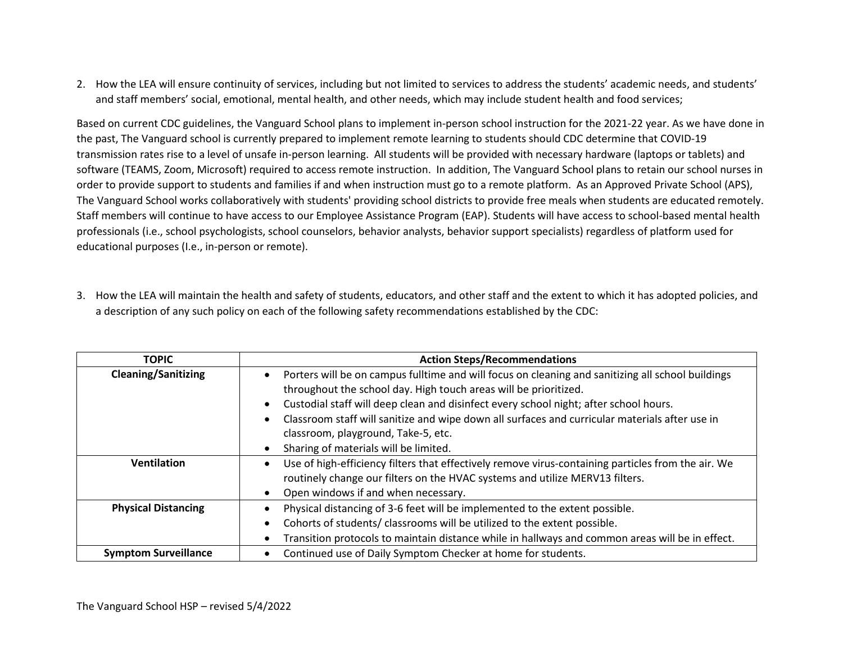2. How the LEA will ensure continuity of services, including but not limited to services to address the students' academic needs, and students' and staff members' social, emotional, mental health, and other needs, which may include student health and food services;

Based on current CDC guidelines, the Vanguard School plans to implement in-person school instruction for the 2021-22 year. As we have done in the past, The Vanguard school is currently prepared to implement remote learning to students should CDC determine that COVID-19 transmission rates rise to a level of unsafe in-person learning. All students will be provided with necessary hardware (laptops or tablets) and software (TEAMS, Zoom, Microsoft) required to access remote instruction. In addition, The Vanguard School plans to retain our school nurses in order to provide support to students and families if and when instruction must go to a remote platform. As an Approved Private School (APS), The Vanguard School works collaboratively with students' providing school districts to provide free meals when students are educated remotely. Staff members will continue to have access to our Employee Assistance Program (EAP). Students will have access to school-based mental health professionals (i.e., school psychologists, school counselors, behavior analysts, behavior support specialists) regardless of platform used for educational purposes (I.e., in-person or remote).

3. How the LEA will maintain the health and safety of students, educators, and other staff and the extent to which it has adopted policies, and a description of any such policy on each of the following safety recommendations established by the CDC:

| <b>TOPIC</b>                | <b>Action Steps/Recommendations</b>                                                                                                                                                                                                                                                                                                                                                                                                              |  |  |  |  |
|-----------------------------|--------------------------------------------------------------------------------------------------------------------------------------------------------------------------------------------------------------------------------------------------------------------------------------------------------------------------------------------------------------------------------------------------------------------------------------------------|--|--|--|--|
| <b>Cleaning/Sanitizing</b>  | Porters will be on campus fulltime and will focus on cleaning and sanitizing all school buildings<br>throughout the school day. High touch areas will be prioritized.<br>Custodial staff will deep clean and disinfect every school night; after school hours.<br>Classroom staff will sanitize and wipe down all surfaces and curricular materials after use in<br>classroom, playground, Take-5, etc.<br>Sharing of materials will be limited. |  |  |  |  |
| <b>Ventilation</b>          | Use of high-efficiency filters that effectively remove virus-containing particles from the air. We<br>routinely change our filters on the HVAC systems and utilize MERV13 filters.<br>Open windows if and when necessary.                                                                                                                                                                                                                        |  |  |  |  |
| <b>Physical Distancing</b>  | Physical distancing of 3-6 feet will be implemented to the extent possible.<br>Cohorts of students/classrooms will be utilized to the extent possible.<br>Transition protocols to maintain distance while in hallways and common areas will be in effect.                                                                                                                                                                                        |  |  |  |  |
| <b>Symptom Surveillance</b> | Continued use of Daily Symptom Checker at home for students.                                                                                                                                                                                                                                                                                                                                                                                     |  |  |  |  |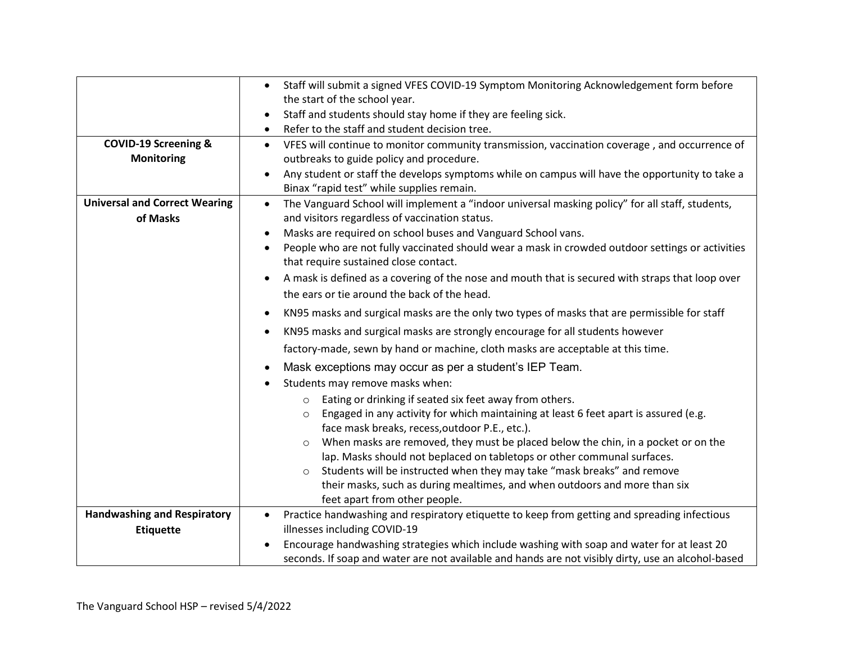|                                      | Staff will submit a signed VFES COVID-19 Symptom Monitoring Acknowledgement form before                                                   |  |  |  |  |  |  |  |
|--------------------------------------|-------------------------------------------------------------------------------------------------------------------------------------------|--|--|--|--|--|--|--|
|                                      | the start of the school year.                                                                                                             |  |  |  |  |  |  |  |
|                                      | Staff and students should stay home if they are feeling sick.                                                                             |  |  |  |  |  |  |  |
|                                      | Refer to the staff and student decision tree.                                                                                             |  |  |  |  |  |  |  |
| <b>COVID-19 Screening &amp;</b>      | VFES will continue to monitor community transmission, vaccination coverage, and occurrence of<br>$\bullet$                                |  |  |  |  |  |  |  |
| <b>Monitoring</b>                    | outbreaks to guide policy and procedure.                                                                                                  |  |  |  |  |  |  |  |
|                                      | Any student or staff the develops symptoms while on campus will have the opportunity to take a                                            |  |  |  |  |  |  |  |
|                                      | Binax "rapid test" while supplies remain.                                                                                                 |  |  |  |  |  |  |  |
| <b>Universal and Correct Wearing</b> | The Vanguard School will implement a "indoor universal masking policy" for all staff, students,<br>$\bullet$                              |  |  |  |  |  |  |  |
| of Masks                             | and visitors regardless of vaccination status.                                                                                            |  |  |  |  |  |  |  |
|                                      | Masks are required on school buses and Vanguard School vans.                                                                              |  |  |  |  |  |  |  |
|                                      | People who are not fully vaccinated should wear a mask in crowded outdoor settings or activities<br>that require sustained close contact. |  |  |  |  |  |  |  |
|                                      | A mask is defined as a covering of the nose and mouth that is secured with straps that loop over                                          |  |  |  |  |  |  |  |
|                                      | the ears or tie around the back of the head.                                                                                              |  |  |  |  |  |  |  |
|                                      | KN95 masks and surgical masks are the only two types of masks that are permissible for staff                                              |  |  |  |  |  |  |  |
|                                      | KN95 masks and surgical masks are strongly encourage for all students however                                                             |  |  |  |  |  |  |  |
|                                      | factory-made, sewn by hand or machine, cloth masks are acceptable at this time.                                                           |  |  |  |  |  |  |  |
|                                      | Mask exceptions may occur as per a student's IEP Team.                                                                                    |  |  |  |  |  |  |  |
|                                      | Students may remove masks when:                                                                                                           |  |  |  |  |  |  |  |
|                                      | Eating or drinking if seated six feet away from others.<br>$\circ$                                                                        |  |  |  |  |  |  |  |
|                                      | Engaged in any activity for which maintaining at least 6 feet apart is assured (e.g.<br>$\circ$                                           |  |  |  |  |  |  |  |
|                                      | face mask breaks, recess, outdoor P.E., etc.).                                                                                            |  |  |  |  |  |  |  |
|                                      | When masks are removed, they must be placed below the chin, in a pocket or on the                                                         |  |  |  |  |  |  |  |
|                                      | lap. Masks should not beplaced on tabletops or other communal surfaces.                                                                   |  |  |  |  |  |  |  |
|                                      | Students will be instructed when they may take "mask breaks" and remove<br>$\circ$                                                        |  |  |  |  |  |  |  |
|                                      | their masks, such as during mealtimes, and when outdoors and more than six                                                                |  |  |  |  |  |  |  |
|                                      | feet apart from other people.                                                                                                             |  |  |  |  |  |  |  |
| <b>Handwashing and Respiratory</b>   | Practice handwashing and respiratory etiquette to keep from getting and spreading infectious<br>$\bullet$                                 |  |  |  |  |  |  |  |
| <b>Etiquette</b>                     | illnesses including COVID-19                                                                                                              |  |  |  |  |  |  |  |
|                                      | Encourage handwashing strategies which include washing with soap and water for at least 20                                                |  |  |  |  |  |  |  |
|                                      | seconds. If soap and water are not available and hands are not visibly dirty, use an alcohol-based                                        |  |  |  |  |  |  |  |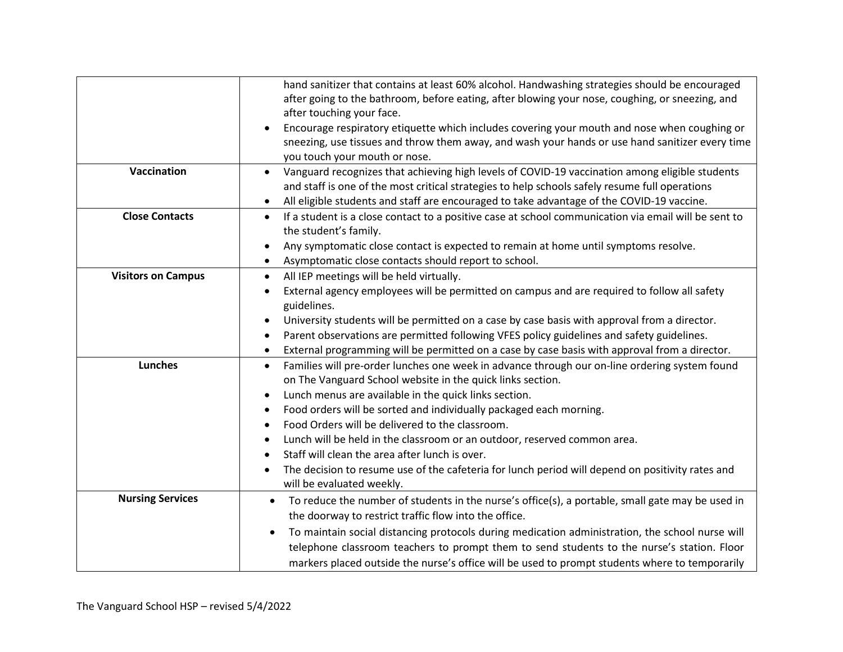|                           | hand sanitizer that contains at least 60% alcohol. Handwashing strategies should be encouraged                    |  |  |  |  |  |
|---------------------------|-------------------------------------------------------------------------------------------------------------------|--|--|--|--|--|
|                           | after going to the bathroom, before eating, after blowing your nose, coughing, or sneezing, and                   |  |  |  |  |  |
|                           | after touching your face.                                                                                         |  |  |  |  |  |
|                           | Encourage respiratory etiquette which includes covering your mouth and nose when coughing or                      |  |  |  |  |  |
|                           | sneezing, use tissues and throw them away, and wash your hands or use hand sanitizer every time                   |  |  |  |  |  |
|                           | you touch your mouth or nose.                                                                                     |  |  |  |  |  |
| Vaccination               | Vanguard recognizes that achieving high levels of COVID-19 vaccination among eligible students<br>$\bullet$       |  |  |  |  |  |
|                           | and staff is one of the most critical strategies to help schools safely resume full operations                    |  |  |  |  |  |
|                           | All eligible students and staff are encouraged to take advantage of the COVID-19 vaccine.                         |  |  |  |  |  |
| <b>Close Contacts</b>     | If a student is a close contact to a positive case at school communication via email will be sent to<br>$\bullet$ |  |  |  |  |  |
|                           | the student's family.                                                                                             |  |  |  |  |  |
|                           | Any symptomatic close contact is expected to remain at home until symptoms resolve.<br>$\bullet$                  |  |  |  |  |  |
|                           | Asymptomatic close contacts should report to school.<br>$\bullet$                                                 |  |  |  |  |  |
| <b>Visitors on Campus</b> | All IEP meetings will be held virtually.<br>$\bullet$                                                             |  |  |  |  |  |
|                           | External agency employees will be permitted on campus and are required to follow all safety                       |  |  |  |  |  |
|                           | guidelines.                                                                                                       |  |  |  |  |  |
|                           | University students will be permitted on a case by case basis with approval from a director.<br>$\bullet$         |  |  |  |  |  |
|                           | Parent observations are permitted following VFES policy guidelines and safety guidelines.                         |  |  |  |  |  |
|                           | External programming will be permitted on a case by case basis with approval from a director.<br>$\bullet$        |  |  |  |  |  |
| <b>Lunches</b>            | Families will pre-order lunches one week in advance through our on-line ordering system found<br>$\bullet$        |  |  |  |  |  |
|                           | on The Vanguard School website in the quick links section.                                                        |  |  |  |  |  |
|                           | Lunch menus are available in the quick links section.                                                             |  |  |  |  |  |
|                           | Food orders will be sorted and individually packaged each morning.                                                |  |  |  |  |  |
|                           | Food Orders will be delivered to the classroom.                                                                   |  |  |  |  |  |
|                           | Lunch will be held in the classroom or an outdoor, reserved common area.                                          |  |  |  |  |  |
|                           | Staff will clean the area after lunch is over.                                                                    |  |  |  |  |  |
|                           | The decision to resume use of the cafeteria for lunch period will depend on positivity rates and                  |  |  |  |  |  |
|                           | will be evaluated weekly.                                                                                         |  |  |  |  |  |
| <b>Nursing Services</b>   | To reduce the number of students in the nurse's office(s), a portable, small gate may be used in<br>$\bullet$     |  |  |  |  |  |
|                           | the doorway to restrict traffic flow into the office.                                                             |  |  |  |  |  |
|                           | To maintain social distancing protocols during medication administration, the school nurse will<br>$\bullet$      |  |  |  |  |  |
|                           | telephone classroom teachers to prompt them to send students to the nurse's station. Floor                        |  |  |  |  |  |
|                           | markers placed outside the nurse's office will be used to prompt students where to temporarily                    |  |  |  |  |  |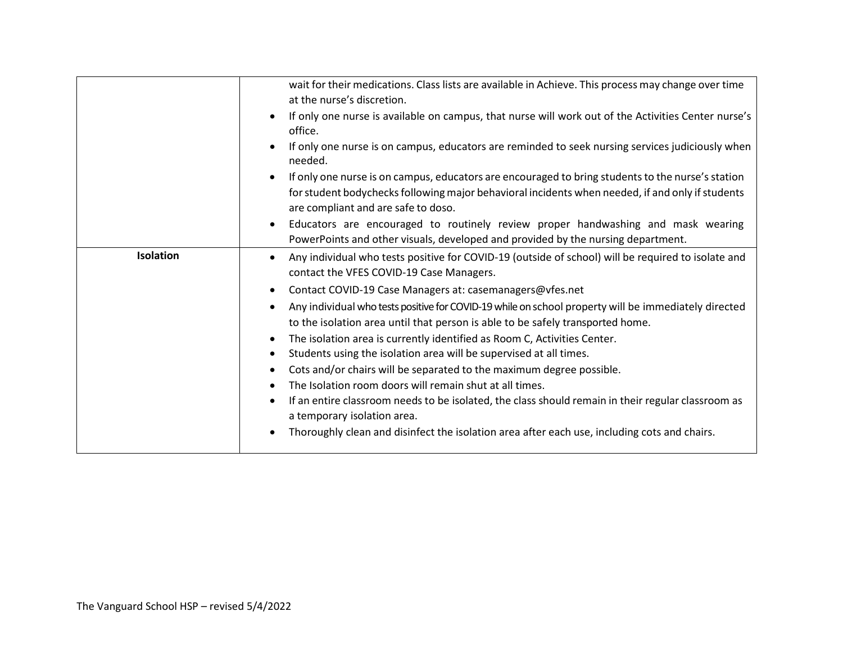|           | wait for their medications. Class lists are available in Achieve. This process may change over time<br>at the nurse's discretion.                                                                                                                         |
|-----------|-----------------------------------------------------------------------------------------------------------------------------------------------------------------------------------------------------------------------------------------------------------|
|           | If only one nurse is available on campus, that nurse will work out of the Activities Center nurse's<br>$\bullet$<br>office.                                                                                                                               |
|           | If only one nurse is on campus, educators are reminded to seek nursing services judiciously when<br>$\bullet$<br>needed.                                                                                                                                  |
|           | If only one nurse is on campus, educators are encouraged to bring students to the nurse's station<br>$\bullet$<br>for student bodychecks following major behavioral incidents when needed, if and only if students<br>are compliant and are safe to doso. |
|           | Educators are encouraged to routinely review proper handwashing and mask wearing<br>$\bullet$<br>PowerPoints and other visuals, developed and provided by the nursing department.                                                                         |
| Isolation | Any individual who tests positive for COVID-19 (outside of school) will be required to isolate and<br>$\bullet$<br>contact the VFES COVID-19 Case Managers.                                                                                               |
|           | Contact COVID-19 Case Managers at: casemanagers@vfes.net<br>$\bullet$                                                                                                                                                                                     |
|           | Any individual who tests positive for COVID-19 while on school property will be immediately directed<br>$\bullet$<br>to the isolation area until that person is able to be safely transported home.                                                       |
|           | The isolation area is currently identified as Room C, Activities Center.<br>$\bullet$                                                                                                                                                                     |
|           | Students using the isolation area will be supervised at all times.<br>$\bullet$                                                                                                                                                                           |
|           | Cots and/or chairs will be separated to the maximum degree possible.<br>$\bullet$                                                                                                                                                                         |
|           | The Isolation room doors will remain shut at all times.<br>$\bullet$                                                                                                                                                                                      |
|           | If an entire classroom needs to be isolated, the class should remain in their regular classroom as<br>$\bullet$<br>a temporary isolation area.                                                                                                            |
|           | Thoroughly clean and disinfect the isolation area after each use, including cots and chairs.                                                                                                                                                              |